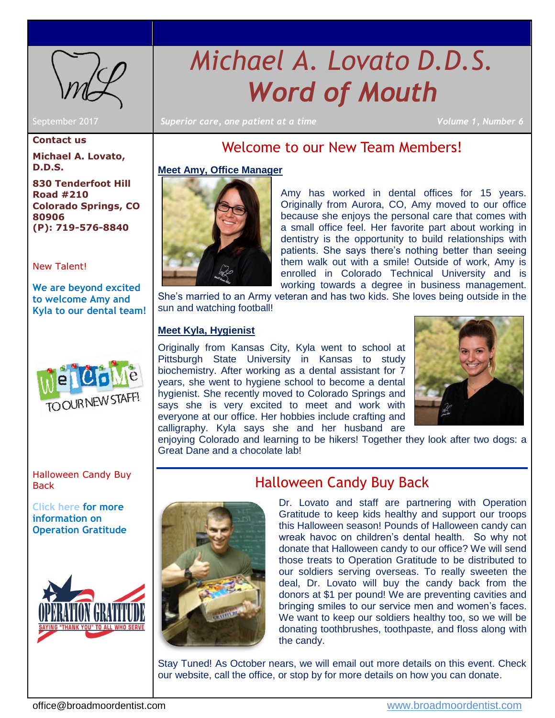

# *Michael A. Lovato D.D.S. Word of Mouth*

September 2017 *Superior care, one patient at a time Volume 1, Number 6*

#### **Contact us**

**Michael A. Lovato, D.D.S.**

**830 Tenderfoot Hill Road #210 Colorado Springs, CO 80906 (P): 719-576-8840**

## [New Talent!](#page-0-0)

**We are beyond excited to welcome Amy and Kyla to our dental team!** 



[Halloween Candy Buy](#page-0-1)  **Back** 

**[Click here](http://www.broadmoordentist.com/) for more information on Operation Gratitude**



## Welcome to our New Team Members!

#### <span id="page-0-0"></span>**Meet Amy, Office Manager**



Amy has worked in dental offices for 15 years. Originally from Aurora, CO, Amy moved to our office because she enjoys the personal care that comes with a small office feel. Her favorite part about working in dentistry is the opportunity to build relationships with patients. She says there's nothing better than seeing them walk out with a smile! Outside of work, Amy is enrolled in Colorado Technical University and is working towards a degree in business management.

She's married to an Army veteran and has two kids. She loves being outside in the sun and watching football!

#### **Meet Kyla, Hygienist**

Originally from Kansas City, Kyla went to school at Pittsburgh State University in Kansas to study biochemistry. After working as a dental assistant for 7 years, she went to hygiene school to become a dental hygienist. She recently moved to Colorado Springs and says she is very excited to meet and work with everyone at our office. Her hobbies include crafting and calligraphy. Kyla says she and her husband are



<span id="page-0-1"></span>enjoying Colorado and learning to be hikers! Together they look after two dogs: a Great Dane and a chocolate lab!



## Halloween Candy Buy Back

Dr. Lovato and staff are partnering with Operation Gratitude to keep kids healthy and support our troops this Halloween season! Pounds of Halloween candy can wreak havoc on children's dental health. So why not donate that Halloween candy to our office? We will send those treats to Operation Gratitude to be distributed to our soldiers serving overseas. To really sweeten the deal, Dr. Lovato will buy the candy back from the donors at \$1 per pound! We are preventing cavities and bringing smiles to our service men and women's faces. We want to keep our soldiers healthy too, so we will be donating toothbrushes, toothpaste, and floss along with the candy.

Stay Tuned! As October nears, we will email out more details on this event. Check our website, call the office, or stop by for more details on how you can donate.